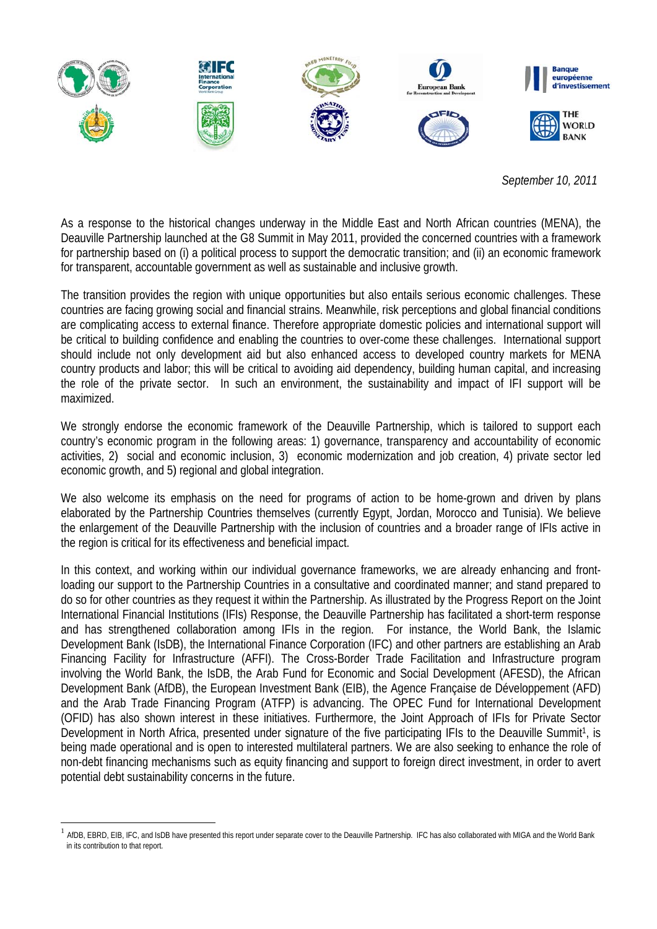

September 10, 2011

As a response to the historical changes underway in the Middle East and North African countries (MENA), the Deauville Partnership launched at the G8 Summit in May 2011, provided the concerned countries with a framework for partnership based on (i) a political process to support the democratic transition; and (ii) an economic framework for transparent, accountable government as well as sustainable and inclusive growth.

The transition provides the region with unique opportunities but also entails serious economic challenges. These countries are facing growing social and financial strains. Meanwhile, risk perceptions and global financial conditions are complicating access to external finance. Therefore appropriate domestic policies and international support will be critical to building confidence and enabling the countries to over-come these challenges. International support should include not only development aid but also enhanced access to developed country markets for MENA country products and labor: this will be critical to avoiding aid dependency, building human capital, and increasing the role of the private sector. In such an environment, the sustainability and impact of IFI support will be maximized.

We strongly endorse the economic framework of the Deauville Partnership, which is tailored to support each country's economic program in the following areas: 1) governance, transparency and accountability of economic activities, 2) social and economic inclusion, 3) economic modernization and job creation, 4) private sector led economic growth, and 5) regional and global integration.

We also welcome its emphasis on the need for programs of action to be home-grown and driven by plans elaborated by the Partnership Countries themselves (currently Egypt, Jordan, Morocco and Tunisia). We believe the enlargement of the Deauville Partnership with the inclusion of countries and a broader range of IFIs active in the region is critical for its effectiveness and beneficial impact.

In this context, and working within our individual governance frameworks, we are already enhancing and frontloading our support to the Partnership Countries in a consultative and coordinated manner; and stand prepared to do so for other countries as they request it within the Partnership. As illustrated by the Progress Report on the Joint International Financial Institutions (IFIs) Response, the Deauville Partnership has facilitated a short-term response and has strengthened collaboration among IFIs in the region. For instance, the World Bank, the Islamic Development Bank (IsDB), the International Finance Corporation (IFC) and other partners are establishing an Arab Financing Facility for Infrastructure (AFFI). The Cross-Border Trade Facilitation and Infrastructure program involving the World Bank, the IsDB, the Arab Fund for Economic and Social Development (AFESD), the African Development Bank (AfDB), the European Investment Bank (EIB), the Agence Française de Développement (AFD) and the Arab Trade Financing Program (ATFP) is advancing. The OPEC Fund for International Development (OFID) has also shown interest in these initiatives. Furthermore, the Joint Approach of IFIs for Private Sector Development in North Africa, presented under signature of the five participating IFIs to the Deauville Summit<sup>1</sup>, is being made operational and is open to interested multilateral partners. We are also seeking to enhance the role of non-debt financing mechanisms such as equity financing and support to foreign direct investment, in order to avert potential debt sustainability concerns in the future.

<sup>&</sup>lt;sup>1</sup> AfDB, EBRD, EIB, IFC, and IsDB have presented this report under separate cover to the Deauville Partnership. IFC has also collaborated with MIGA and the World Bank in its contribution to that report.